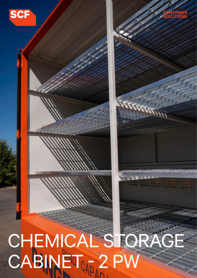



# CHEMICAL STORAGE  $C$ ABINET $_{0.5}$  2 PW